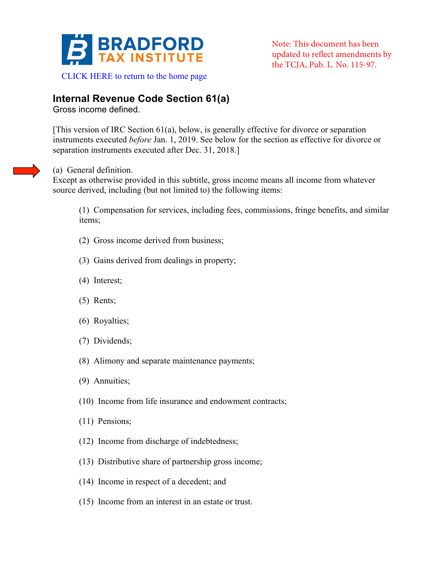

Note: This document has been updated to reflect amendments by the TCJA, Pub. L. No. 115-97.

## **Internal Revenue Code Section 61(a)**

Gross income defined.

[This version of IRC Section 61(a), below, is generally effective for divorce or separation instruments executed *before* Jan. 1, 2019. See below for the section as effective for divorce or separation instruments executed after Dec. 31, 2018.]

## (a) General definition.

Except as otherwise provided in this subtitle, gross income means all income from whatever source derived, including (but not limited to) the following items:

(1) Compensation for services, including fees, commissions, fringe benefits, and similar items;

- (2) Gross income derived from business;
- (3) Gains derived from dealings in property;
- (4) Interest;
- (5) Rents;
- (6) Royalties;
- (7) Dividends;
- (8) Alimony and separate maintenance payments;
- (9) Annuities;
- (10) Income from life insurance and endowment contracts;
- (11) Pensions;
- (12) Income from discharge of indebtedness;
- (13) Distributive share of partnership gross income;
- (14) Income in respect of a decedent; and
- (15) Income from an interest in an estate or trust.